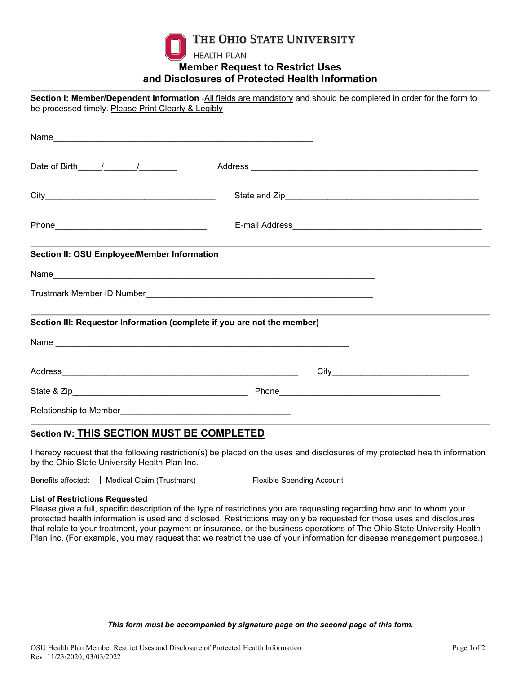

THE OHIO STATE UNIVERSITY

**HEALTH PLAN** 

## **Member Request to Restrict Uses and Disclosures of Protected Health Information**

**Section I: Member/Dependent Information** -All fields are mandatory and should be completed in order for the form to be processed timely. Please Print Clearly & Legibly

| Section II: OSU Employee/Member Information | ,我们也不能会在这里,我们的人们就会在这里,我们也不会在这里,我们也不会在这里,我们也不会在这里,我们也不会在这里,我们也不会在这里,我们也不会在这里,我们也不 |  |
|---------------------------------------------|----------------------------------------------------------------------------------|--|
|                                             |                                                                                  |  |
|                                             |                                                                                  |  |
|                                             | Section III: Requestor Information (complete if you are not the member)          |  |
|                                             |                                                                                  |  |
|                                             |                                                                                  |  |
|                                             |                                                                                  |  |
|                                             |                                                                                  |  |
| Section IV: THIS SECTION MUST BE COMPLETED  |                                                                                  |  |

I hereby request that the following restriction(s) be placed on the uses and disclosures of my protected health information by the Ohio State University Health Plan Inc.

Benefits affected: Medical Claim (Trustmark) Flexible Spending Account

## **List of Restrictions Requested**

Please give a full, specific description of the type of restrictions you are requesting regarding how and to whom your protected health information is used and disclosed. Restrictions may only be requested for those uses and disclosures that relate to your treatment, your payment or insurance, or the business operations of The Ohio State University Health Plan Inc. (For example, you may request that we restrict the use of your information for disease management purposes.)

*This form must be accompanied by signature page on the second page of this form.*